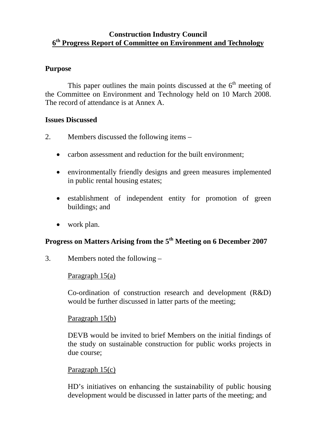#### **Construction Industry Council 6th Progress Report of Committee on Environment and Technology**

#### **Purpose**

This paper outlines the main points discussed at the  $6<sup>th</sup>$  meeting of the Committee on Environment and Technology held on 10 March 2008. The record of attendance is at Annex A.

#### **Issues Discussed**

- 2. Members discussed the following items
	- carbon assessment and reduction for the built environment;
	- environmentally friendly designs and green measures implemented in public rental housing estates;
	- establishment of independent entity for promotion of green buildings; and
	- work plan.

## Progress on Matters Arising from the 5<sup>th</sup> Meeting on 6 December 2007

3. Members noted the following –

#### Paragraph 15(a)

Co-ordination of construction research and development (R&D) would be further discussed in latter parts of the meeting;

#### Paragraph 15(b)

DEVB would be invited to brief Members on the initial findings of the study on sustainable construction for public works projects in due course;

#### Paragraph 15(c)

HD's initiatives on enhancing the sustainability of public housing development would be discussed in latter parts of the meeting; and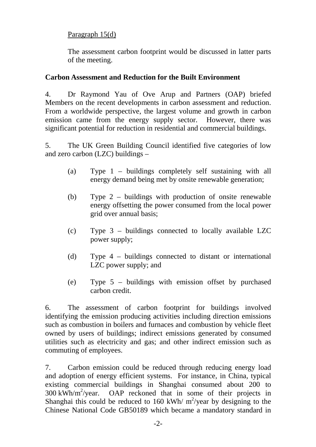## Paragraph 15(d)

The assessment carbon footprint would be discussed in latter parts of the meeting.

### **Carbon Assessment and Reduction for the Built Environment**

4. Dr Raymond Yau of Ove Arup and Partners (OAP) briefed Members on the recent developments in carbon assessment and reduction. From a worldwide perspective, the largest volume and growth in carbon emission came from the energy supply sector. However, there was significant potential for reduction in residential and commercial buildings.

5. The UK Green Building Council identified five categories of low and zero carbon (LZC) buildings –

- (a) Type 1 buildings completely self sustaining with all energy demand being met by onsite renewable generation;
- (b) Type 2 buildings with production of onsite renewable energy offsetting the power consumed from the local power grid over annual basis;
- (c) Type 3 buildings connected to locally available LZC power supply;
- (d) Type 4 buildings connected to distant or international LZC power supply; and
- (e) Type 5 buildings with emission offset by purchased carbon credit.

6. The assessment of carbon footprint for buildings involved identifying the emission producing activities including direction emissions such as combustion in boilers and furnaces and combustion by vehicle fleet owned by users of buildings; indirect emissions generated by consumed utilities such as electricity and gas; and other indirect emission such as commuting of employees.

7. Carbon emission could be reduced through reducing energy load and adoption of energy efficient systems. For instance, in China, typical existing commercial buildings in Shanghai consumed about 200 to  $300 \text{ kWh/m}^2$ /year. OAP reckoned that in some of their projects in Shanghai this could be reduced to 160 kWh/  $m^2$ /year by designing to the Chinese National Code GB50189 which became a mandatory standard in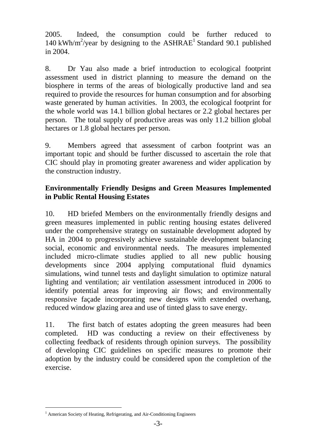2005. Indeed, the consumption could be further reduced to 140 kWh/m<sup>2</sup>/year by designing to the ASHRAE<sup>1</sup> Standard 90.1 published in 2004.

8. Dr Yau also made a brief introduction to ecological footprint assessment used in district planning to measure the demand on the biosphere in terms of the areas of biologically productive land and sea required to provide the resources for human consumption and for absorbing waste generated by human activities. In 2003, the ecological footprint for the whole world was 14.1 billion global hectares or 2.2 global hectares per person. The total supply of productive areas was only 11.2 billion global hectares or 1.8 global hectares per person.

9. Members agreed that assessment of carbon footprint was an important topic and should be further discussed to ascertain the role that CIC should play in promoting greater awareness and wider application by the construction industry.

## **Environmentally Friendly Designs and Green Measures Implemented in Public Rental Housing Estates**

10. HD briefed Members on the environmentally friendly designs and green measures implemented in public renting housing estates delivered under the comprehensive strategy on sustainable development adopted by HA in 2004 to progressively achieve sustainable development balancing social, economic and environmental needs. The measures implemented included micro-climate studies applied to all new public housing developments since 2004 applying computational fluid dynamics simulations, wind tunnel tests and daylight simulation to optimize natural lighting and ventilation; air ventilation assessment introduced in 2006 to identify potential areas for improving air flows; and environmentally responsive façade incorporating new designs with extended overhang, reduced window glazing area and use of tinted glass to save energy.

11. The first batch of estates adopting the green measures had been completed. HD was conducting a review on their effectiveness by collecting feedback of residents through opinion surveys. The possibility of developing CIC guidelines on specific measures to promote their adoption by the industry could be considered upon the completion of the exercise.

l

<sup>&</sup>lt;sup>1</sup> American Society of Heating, Refrigerating, and Air-Conditioning Engineers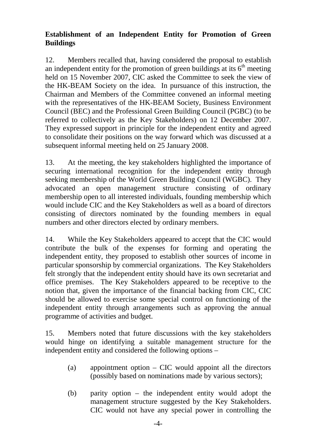## **Establishment of an Independent Entity for Promotion of Green Buildings**

12. Members recalled that, having considered the proposal to establish an independent entity for the promotion of green buildings at its  $6<sup>th</sup>$  meeting held on 15 November 2007, CIC asked the Committee to seek the view of the HK-BEAM Society on the idea. In pursuance of this instruction, the Chairman and Members of the Committee convened an informal meeting with the representatives of the HK-BEAM Society, Business Environment Council (BEC) and the Professional Green Building Council (PGBC) (to be referred to collectively as the Key Stakeholders) on 12 December 2007. They expressed support in principle for the independent entity and agreed to consolidate their positions on the way forward which was discussed at a subsequent informal meeting held on 25 January 2008.

13. At the meeting, the key stakeholders highlighted the importance of securing international recognition for the independent entity through seeking membership of the World Green Building Council (WGBC). They advocated an open management structure consisting of ordinary membership open to all interested individuals, founding membership which would include CIC and the Key Stakeholders as well as a board of directors consisting of directors nominated by the founding members in equal numbers and other directors elected by ordinary members.

14. While the Key Stakeholders appeared to accept that the CIC would contribute the bulk of the expenses for forming and operating the independent entity, they proposed to establish other sources of income in particular sponsorship by commercial organizations. The Key Stakeholders felt strongly that the independent entity should have its own secretariat and office premises. The Key Stakeholders appeared to be receptive to the notion that, given the importance of the financial backing from CIC, CIC should be allowed to exercise some special control on functioning of the independent entity through arrangements such as approving the annual programme of activities and budget.

15. Members noted that future discussions with the key stakeholders would hinge on identifying a suitable management structure for the independent entity and considered the following options –

- (a) appointment option CIC would appoint all the directors (possibly based on nominations made by various sectors);
- (b) parity option the independent entity would adopt the management structure suggested by the Key Stakeholders. CIC would not have any special power in controlling the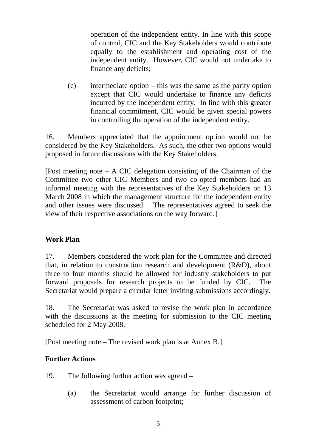operation of the independent entity. In line with this scope of control, CIC and the Key Stakeholders would contribute equally to the establishment and operating cost of the independent entity. However, CIC would not undertake to finance any deficits;

(c) intermediate option – this was the same as the parity option except that CIC would undertake to finance any deficits incurred by the independent entity. In line with this greater financial commitment, CIC would be given special powers in controlling the operation of the independent entity.

16. Members appreciated that the appointment option would not be considered by the Key Stakeholders. As such, the other two options would proposed in future discussions with the Key Stakeholders.

[Post meeting note  $-$  A CIC delegation consisting of the Chairman of the Committee two other CIC Members and two co-opted members had an informal meeting with the representatives of the Key Stakeholders on 13 March 2008 in which the management structure for the independent entity and other issues were discussed. The representatives agreed to seek the view of their respective associations on the way forward.]

## **Work Plan**

17. Members considered the work plan for the Committee and directed that, in relation to construction research and development (R&D), about three to four months should be allowed for industry stakeholders to put forward proposals for research projects to be funded by CIC. The Secretariat would prepare a circular letter inviting submissions accordingly.

18. The Secretariat was asked to revise the work plan in accordance with the discussions at the meeting for submission to the CIC meeting scheduled for 2 May 2008.

[Post meeting note – The revised work plan is at Annex B.]

## **Further Actions**

- 19. The following further action was agreed
	- (a) the Secretariat would arrange for further discussion of assessment of carbon footprint;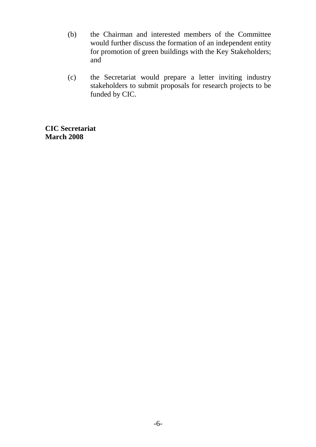- (b) the Chairman and interested members of the Committee would further discuss the formation of an independent entity for promotion of green buildings with the Key Stakeholders; and
- (c) the Secretariat would prepare a letter inviting industry stakeholders to submit proposals for research projects to be funded by CIC.

**CIC Secretariat March 2008**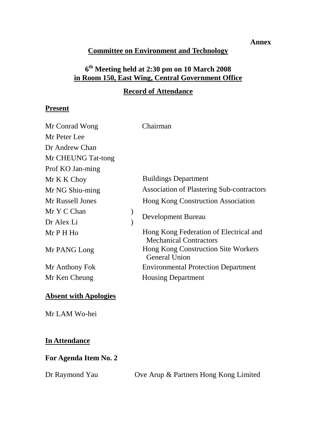## **Committee on Environment and Technology**

## **6th Meeting held at 2:30 pm on 10 March 2008 in Room 150, East Wing, Central Government Office**

## **Record of Attendance**

### **Present**

| Mr Conrad Wong     | Chairman                                                                |  |
|--------------------|-------------------------------------------------------------------------|--|
| Mr Peter Lee       |                                                                         |  |
| Dr Andrew Chan     |                                                                         |  |
| Mr CHEUNG Tat-tong |                                                                         |  |
| Prof KO Jan-ming   |                                                                         |  |
| Mr K K Choy        | <b>Buildings Department</b>                                             |  |
| Mr NG Shiu-ming    | <b>Association of Plastering Sub-contractors</b>                        |  |
| Mr Russell Jones   | Hong Kong Construction Association                                      |  |
| Mr Y C Chan        | <b>Development Bureau</b>                                               |  |
| Dr Alex Li         |                                                                         |  |
| $MrPH$ Ho          | Hong Kong Federation of Electrical and<br><b>Mechanical Contractors</b> |  |
| Mr PANG Long       | Hong Kong Construction Site Workers<br><b>General Union</b>             |  |
| Mr Anthony Fok     | <b>Environmental Protection Department</b>                              |  |
| Mr Ken Cheung      | <b>Housing Department</b>                                               |  |

#### **Absent with Apologies**

Mr LAM Wo-hei

### **In Attendance**

#### **For Agenda Item No. 2**

Dr Raymond Yau Ove Arup & Partners Hong Kong Limited

#### **Annex**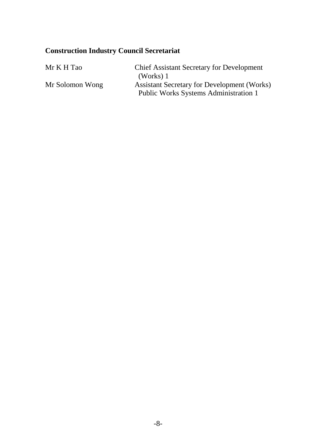# **Construction Industry Council Secretariat**

| Mr K H Tao      | <b>Chief Assistant Secretary for Development</b>   |  |
|-----------------|----------------------------------------------------|--|
|                 | (Works) $1$                                        |  |
| Mr Solomon Wong | <b>Assistant Secretary for Development (Works)</b> |  |
|                 | Public Works Systems Administration 1              |  |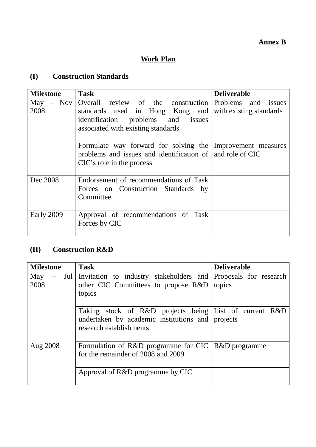## **Annex B**

## **Work Plan**

## **(I) Construction Standards**

| <b>Milestone</b>         | <b>Task</b>                                                                                                                                                                                   | <b>Deliverable</b> |
|--------------------------|-----------------------------------------------------------------------------------------------------------------------------------------------------------------------------------------------|--------------------|
| Nov  <br>$May -$<br>2008 | Overall review of the construction Problems and issues<br>standards used in Hong Kong and with existing standards<br>identification problems and issues<br>associated with existing standards |                    |
|                          | Formulate way forward for solving the Improvement measures<br>problems and issues and identification of and role of CIC<br>CIC's role in the process                                          |                    |
| Dec 2008                 | Endorsement of recommendations of Task<br>Forces on Construction Standards by<br>Committee                                                                                                    |                    |
| Early 2009               | Approval of recommendations of Task<br>Forces by CIC                                                                                                                                          |                    |

## **(II) Construction R&D**

| <b>Milestone</b> | <b>Task</b>                                                                                                                           | <b>Deliverable</b> |
|------------------|---------------------------------------------------------------------------------------------------------------------------------------|--------------------|
| May<br>2008      | Jul Invitation to industry stakeholders and Proposals for research<br>other CIC Committees to propose R&D<br>topics                   | topics             |
|                  | Taking stock of R&D projects being List of current R&D<br>undertaken by academic institutions and projects<br>research establishments |                    |
| Aug 2008         | Formulation of R&D programme for CIC   R&D programme<br>for the remainder of 2008 and 2009                                            |                    |
|                  | Approval of R&D programme by CIC                                                                                                      |                    |